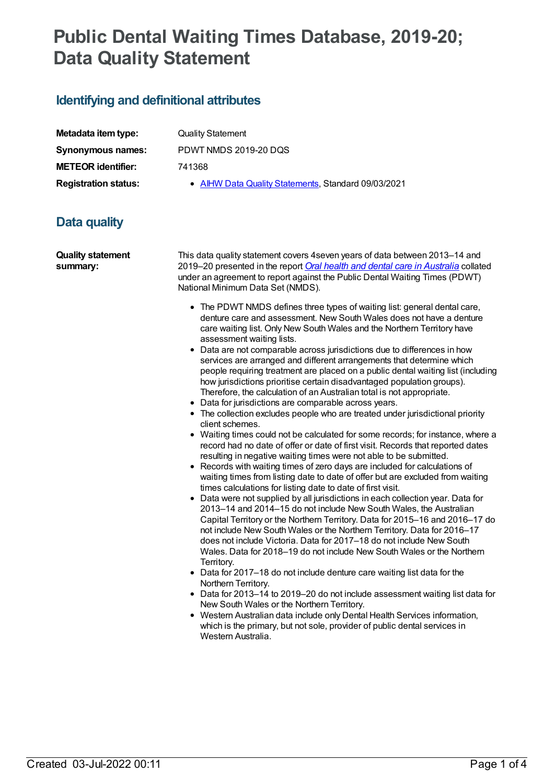# **Public Dental Waiting Times Database, 2019-20; Data Quality Statement**

## **Identifying and definitional attributes**

| Metadata item type:         |
|-----------------------------|
| <b>Synonymous names:</b>    |
| <b>METEOR identifier:</b>   |
| <b>Registration status:</b> |

**Quality Statement Synonymous names:** PDWT NMDS 2019-20 DQS **METEOR identifier:** 741368

**• AIHW Data Quality [Statements](https://meteor.aihw.gov.au/RegistrationAuthority/5), Standard 09/03/2021** 

## **Data quality**

| <b>Quality statement</b><br>summary: | This data quality statement covers 4 seven years of data between 2013–14 and<br>2019–20 presented in the report Oral health and dental care in Australia collated<br>under an agreement to report against the Public Dental Waiting Times (PDWT)<br>National Minimum Data Set (NMDS).<br>• The PDWT NMDS defines three types of waiting list: general dental care,<br>denture care and assessment. New South Wales does not have a denture<br>care waiting list. Only New South Wales and the Northern Territory have<br>assessment waiting lists.<br>• Data are not comparable across jurisdictions due to differences in how<br>services are arranged and different arrangements that determine which<br>people requiring treatment are placed on a public dental waiting list (including<br>how jurisdictions prioritise certain disadvantaged population groups).                                                                                                                                                                                                                                                                                                                                                                                                                                                                                                                                                                                                                                                                                                                                                 |
|--------------------------------------|-----------------------------------------------------------------------------------------------------------------------------------------------------------------------------------------------------------------------------------------------------------------------------------------------------------------------------------------------------------------------------------------------------------------------------------------------------------------------------------------------------------------------------------------------------------------------------------------------------------------------------------------------------------------------------------------------------------------------------------------------------------------------------------------------------------------------------------------------------------------------------------------------------------------------------------------------------------------------------------------------------------------------------------------------------------------------------------------------------------------------------------------------------------------------------------------------------------------------------------------------------------------------------------------------------------------------------------------------------------------------------------------------------------------------------------------------------------------------------------------------------------------------------------------------------------------------------------------------------------------------|
|                                      | Therefore, the calculation of an Australian total is not appropriate.<br>• Data for jurisdictions are comparable across years.<br>• The collection excludes people who are treated under jurisdictional priority<br>client schemes.<br>• Waiting times could not be calculated for some records; for instance, where a<br>record had no date of offer or date of first visit. Records that reported dates<br>resulting in negative waiting times were not able to be submitted.<br>• Records with waiting times of zero days are included for calculations of<br>waiting times from listing date to date of offer but are excluded from waiting<br>times calculations for listing date to date of first visit.<br>• Data were not supplied by all jurisdictions in each collection year. Data for<br>2013-14 and 2014-15 do not include New South Wales, the Australian<br>Capital Territory or the Northern Territory. Data for 2015-16 and 2016-17 do<br>not include New South Wales or the Northern Territory. Data for 2016-17<br>does not include Victoria. Data for 2017-18 do not include New South<br>Wales. Data for 2018–19 do not include New South Wales or the Northern<br>Territory.<br>• Data for 2017-18 do not include denture care waiting list data for the<br>Northern Territory.<br>• Data for 2013-14 to 2019-20 do not include assessment waiting list data for<br>New South Wales or the Northern Territory.<br>• Western Australian data include only Dental Health Services information,<br>which is the primary, but not sole, provider of public dental services in<br>Western Australia. |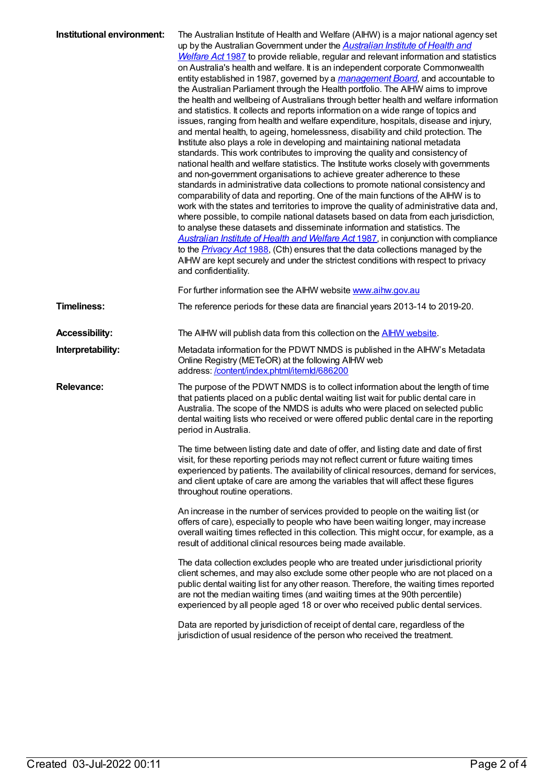| Institutional environment: | The Australian Institute of Health and Welfare (AIHW) is a major national agency set<br>up by the Australian Government under the <b>Australian Institute of Health and</b><br>Welfare Act 1987 to provide reliable, regular and relevant information and statistics<br>on Australia's health and welfare. It is an independent corporate Commonwealth<br>entity established in 1987, governed by a management Board, and accountable to<br>the Australian Parliament through the Health portfolio. The AIHW aims to improve<br>the health and wellbeing of Australians through better health and welfare information<br>and statistics. It collects and reports information on a wide range of topics and<br>issues, ranging from health and welfare expenditure, hospitals, disease and injury,<br>and mental health, to ageing, homelessness, disability and child protection. The<br>Institute also plays a role in developing and maintaining national metadata<br>standards. This work contributes to improving the quality and consistency of<br>national health and welfare statistics. The Institute works closely with governments<br>and non-government organisations to achieve greater adherence to these<br>standards in administrative data collections to promote national consistency and<br>comparability of data and reporting. One of the main functions of the AIHW is to<br>work with the states and territories to improve the quality of administrative data and,<br>where possible, to compile national datasets based on data from each jurisdiction,<br>to analyse these datasets and disseminate information and statistics. The<br><b>Australian Institute of Health and Welfare Act 1987</b> , in conjunction with compliance<br>to the <b>Privacy Act 1988</b> , (Cth) ensures that the data collections managed by the<br>AIHW are kept securely and under the strictest conditions with respect to privacy<br>and confidentiality.<br>For further information see the AIHW website www.aihw.gov.au |
|----------------------------|-------------------------------------------------------------------------------------------------------------------------------------------------------------------------------------------------------------------------------------------------------------------------------------------------------------------------------------------------------------------------------------------------------------------------------------------------------------------------------------------------------------------------------------------------------------------------------------------------------------------------------------------------------------------------------------------------------------------------------------------------------------------------------------------------------------------------------------------------------------------------------------------------------------------------------------------------------------------------------------------------------------------------------------------------------------------------------------------------------------------------------------------------------------------------------------------------------------------------------------------------------------------------------------------------------------------------------------------------------------------------------------------------------------------------------------------------------------------------------------------------------------------------------------------------------------------------------------------------------------------------------------------------------------------------------------------------------------------------------------------------------------------------------------------------------------------------------------------------------------------------------------------------------------------------------------------------------------------------------------------------------------------------------------|
| <b>Timeliness:</b>         | The reference periods for these data are financial years 2013-14 to 2019-20.                                                                                                                                                                                                                                                                                                                                                                                                                                                                                                                                                                                                                                                                                                                                                                                                                                                                                                                                                                                                                                                                                                                                                                                                                                                                                                                                                                                                                                                                                                                                                                                                                                                                                                                                                                                                                                                                                                                                                        |
|                            |                                                                                                                                                                                                                                                                                                                                                                                                                                                                                                                                                                                                                                                                                                                                                                                                                                                                                                                                                                                                                                                                                                                                                                                                                                                                                                                                                                                                                                                                                                                                                                                                                                                                                                                                                                                                                                                                                                                                                                                                                                     |
| <b>Accessibility:</b>      | The AIHW will publish data from this collection on the <b>AIHW website</b> .                                                                                                                                                                                                                                                                                                                                                                                                                                                                                                                                                                                                                                                                                                                                                                                                                                                                                                                                                                                                                                                                                                                                                                                                                                                                                                                                                                                                                                                                                                                                                                                                                                                                                                                                                                                                                                                                                                                                                        |
| Interpretability:          | Metadata information for the PDWT NMDS is published in the AIHW's Metadata<br>Online Registry (METeOR) at the following AIHW web<br>address: /content/index.phtml/itemld/686200                                                                                                                                                                                                                                                                                                                                                                                                                                                                                                                                                                                                                                                                                                                                                                                                                                                                                                                                                                                                                                                                                                                                                                                                                                                                                                                                                                                                                                                                                                                                                                                                                                                                                                                                                                                                                                                     |
| <b>Relevance:</b>          | The purpose of the PDWT NMDS is to collect information about the length of time<br>that patients placed on a public dental waiting list wait for public dental care in<br>Australia. The scope of the NMDS is adults who were placed on selected public<br>dental waiting lists who received or were offered public dental care in the reporting<br>period in Australia.                                                                                                                                                                                                                                                                                                                                                                                                                                                                                                                                                                                                                                                                                                                                                                                                                                                                                                                                                                                                                                                                                                                                                                                                                                                                                                                                                                                                                                                                                                                                                                                                                                                            |
|                            | The time between listing date and date of offer, and listing date and date of first<br>visit, for these reporting periods may not reflect current or future waiting times<br>experienced by patients. The availability of clinical resources, demand for services,<br>and client uptake of care are among the variables that will affect these figures<br>throughout routine operations.                                                                                                                                                                                                                                                                                                                                                                                                                                                                                                                                                                                                                                                                                                                                                                                                                                                                                                                                                                                                                                                                                                                                                                                                                                                                                                                                                                                                                                                                                                                                                                                                                                            |
|                            | An increase in the number of services provided to people on the waiting list (or<br>offers of care), especially to people who have been waiting longer, may increase<br>overall waiting times reflected in this collection. This might occur, for example, as a<br>result of additional clinical resources being made available.                                                                                                                                                                                                                                                                                                                                                                                                                                                                                                                                                                                                                                                                                                                                                                                                                                                                                                                                                                                                                                                                                                                                                                                                                                                                                                                                                                                                                                                                                                                                                                                                                                                                                                    |
|                            | The data collection excludes people who are treated under jurisdictional priority<br>client schemes, and may also exclude some other people who are not placed on a<br>public dental waiting list for any other reason. Therefore, the waiting times reported<br>are not the median waiting times (and waiting times at the 90th percentile)<br>experienced by all people aged 18 or over who received public dental services.                                                                                                                                                                                                                                                                                                                                                                                                                                                                                                                                                                                                                                                                                                                                                                                                                                                                                                                                                                                                                                                                                                                                                                                                                                                                                                                                                                                                                                                                                                                                                                                                      |
|                            | Data are reported by jurisdiction of receipt of dental care, regardless of the<br>jurisdiction of usual residence of the person who received the treatment.                                                                                                                                                                                                                                                                                                                                                                                                                                                                                                                                                                                                                                                                                                                                                                                                                                                                                                                                                                                                                                                                                                                                                                                                                                                                                                                                                                                                                                                                                                                                                                                                                                                                                                                                                                                                                                                                         |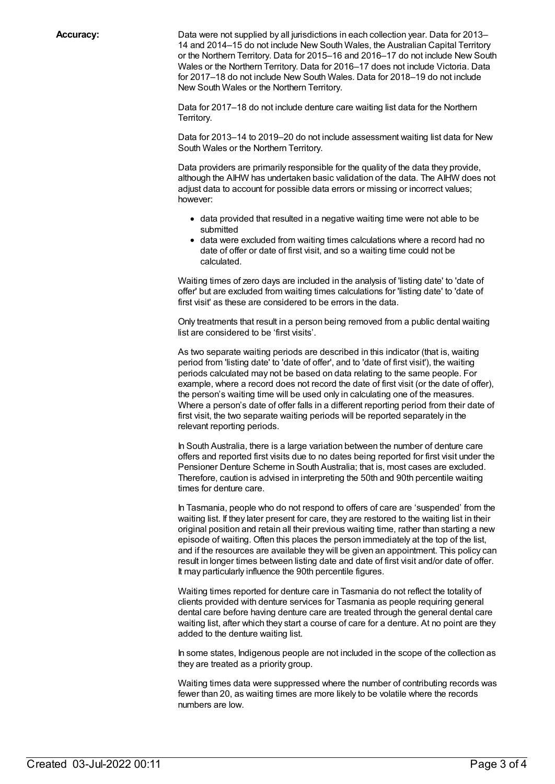**Accuracy:** Data were not supplied by all jurisdictions in each collection year. Data for 2013– 14 and 2014–15 do not include New South Wales, the Australian Capital Territory or the Northern Territory. Data for 2015–16 and 2016–17 do not include New South Wales or the Northern Territory. Data for 2016–17 does not include Victoria. Data for 2017–18 do not include New South Wales. Data for 2018–19 do not include New South Wales or the Northern Territory.

> Data for 2017–18 do not include denture care waiting list data for the Northern Territory.

Data for 2013–14 to 2019–20 do not include assessment waiting list data for New South Wales or the Northern Territory.

Data providers are primarily responsible for the quality of the data they provide, although the AIHW has undertaken basic validation of the data. The AIHW does not adjust data to account for possible data errors or missing or incorrect values; however:

- data provided that resulted in a negative waiting time were not able to be submitted
- data were excluded from waiting times calculations where a record had no date of offer or date of first visit, and so a waiting time could not be calculated.

Waiting times of zero days are included in the analysis of 'listing date' to 'date of offer' but are excluded from waiting times calculations for 'listing date' to 'date of first visit' as these are considered to be errors in the data.

Only treatments that result in a person being removed from a public dental waiting list are considered to be 'first visits'.

As two separate waiting periods are described in this indicator (that is, waiting period from 'listing date' to 'date of offer', and to 'date of first visit'), the waiting periods calculated may not be based on data relating to the same people. For example, where a record does not record the date of first visit (or the date of offer), the person's waiting time will be used only in calculating one of the measures. Where a person's date of offer falls in a different reporting period from their date of first visit, the two separate waiting periods will be reported separately in the relevant reporting periods.

In South Australia, there is a large variation between the number of denture care offers and reported first visits due to no dates being reported for first visit under the Pensioner Denture Scheme in South Australia; that is, most cases are excluded. Therefore, caution is advised in interpreting the 50th and 90th percentile waiting times for denture care.

In Tasmania, people who do not respond to offers of care are 'suspended' from the waiting list. If they later present for care, they are restored to the waiting list in their original position and retain all their previous waiting time, rather than starting a new episode of waiting. Often this places the person immediately at the top of the list, and if the resources are available they will be given an appointment. This policy can result in longer times between listing date and date of first visit and/or date of offer. It may particularly influence the 90th percentile figures.

Waiting times reported for denture care in Tasmania do not reflect the totality of clients provided with denture services for Tasmania as people requiring general dental care before having denture care are treated through the general dental care waiting list, after which they start a course of care for a denture. At no point are they added to the denture waiting list.

In some states, Indigenous people are not included in the scope of the collection as they are treated as a priority group.

Waiting times data were suppressed where the number of contributing records was fewer than 20, as waiting times are more likely to be volatile where the records numbers are low.